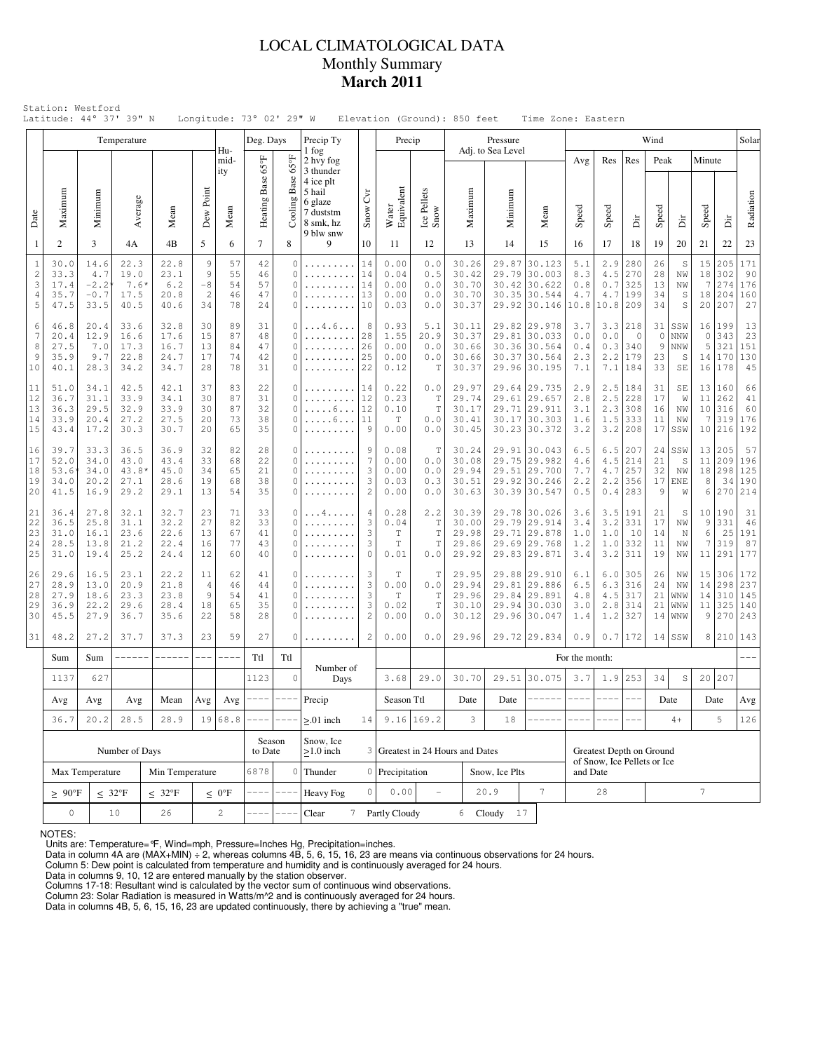## LOCAL CLIMATOLOGICAL DATA Monthly Summary **March 2011**

|                                             |                                                                 |                                                                                                                                       | Temperature                            |                                      |                                        |                            | Deg. Days                  |                                                               | Precip Ty                                                             |                                     | Precip                                             |                                     |                                                                                                    | Pressure                         |                                                                        |                                    |                                                         |                                             | Wind                            |                                   |                                |                                             | Solar                                 |
|---------------------------------------------|-----------------------------------------------------------------|---------------------------------------------------------------------------------------------------------------------------------------|----------------------------------------|--------------------------------------|----------------------------------------|----------------------------|----------------------------|---------------------------------------------------------------|-----------------------------------------------------------------------|-------------------------------------|----------------------------------------------------|-------------------------------------|----------------------------------------------------------------------------------------------------|----------------------------------|------------------------------------------------------------------------|------------------------------------|---------------------------------------------------------|---------------------------------------------|---------------------------------|-----------------------------------|--------------------------------|---------------------------------------------|---------------------------------------|
|                                             |                                                                 |                                                                                                                                       |                                        |                                      |                                        | Hu-<br>mid-<br>ity         |                            | $65^{\circ}$ F                                                | 1 fog<br>2 hvy fog<br>3 thunder                                       |                                     |                                                    |                                     |                                                                                                    | Adj. to Sea Level                |                                                                        | Avg                                | Res                                                     | Res                                         | Peak                            |                                   | Minute                         |                                             |                                       |
| Date                                        | Maximum                                                         | Minimum                                                                                                                               | Average                                | Mean                                 | Dew Point                              | Mean                       | Heating Base 65°F          | Cooling Base                                                  | 4 ice plt<br>5 hail<br>6 glaze<br>7 duststm<br>8 smk, hz<br>9 blw snw | $\mathcal{C}^{\text{tr}}$<br>Snow \ | Water<br>Equivalent                                | Ice Pellets<br>Snow                 | Maximum                                                                                            | Minimum                          | Mean                                                                   | Speed                              | Speed                                                   | ä                                           | Speed                           | Δiτ                               | Speed                          | ä                                           | Radiation                             |
| 1                                           | 2                                                               | 3                                                                                                                                     | 4A                                     | 4B                                   | 5                                      | 6                          | $\overline{7}$             | 8                                                             | 9                                                                     | 10                                  | 11                                                 | 12                                  | 13                                                                                                 | 14                               | 15                                                                     | 16                                 | 17                                                      | 18                                          | 19                              | 20                                | 21                             | 22                                          | 23                                    |
| $\mathbf{1}$<br>$\mathbf{2}$<br>3<br>4<br>5 | 30.0<br>33.3<br>17.4<br>35.7<br>47.5                            | 14.6<br>4.7<br>$-2.2$<br>$-0.7$<br>33.5                                                                                               | 22.3<br>19.0<br>$7.6*$<br>17.5<br>40.5 | 22.8<br>23.1<br>6.2<br>20.8<br>40.6  | 9<br>9<br>$-8$<br>$\overline{c}$<br>34 | 57<br>55<br>54<br>46<br>78 | 42<br>46<br>57<br>47<br>24 | $\mathbf{0}$<br>$\mathbf{0}$<br>$\mathbf{0}$<br>0<br>$\Omega$ | .<br>.                                                                | 14<br>14<br>14<br>13<br>10          | 0.00<br>0.04<br>0.00<br>0.00<br>0.03               | 0.0<br>0.5<br>0.0<br>0.0<br>0.0     | 30.26<br>30.42<br>30.70<br>30.70<br>30.37                                                          | 29.87<br>29.79<br>30.42<br>29.92 | 30.123<br>30.003<br>30.622<br>30.35 30.544<br>30.146                   | 5.1<br>8.3<br>$0.8$<br>4.7<br>10.8 | 2.9<br>4.5<br>$0.7$<br>4.7<br>10.8                      | 280<br>270<br>325<br>199<br>209             | 26<br>28<br>13<br>34<br>34      | $\mathbb S$<br>NW<br>NW<br>S<br>S | 15<br>18<br>7<br>18<br>20      | 205<br>302<br>274<br>204<br>207             | 171<br>90<br>176<br>160<br>27         |
| 6<br>7<br>8<br>9<br>10                      | 46.8<br>20.4<br>27.5<br>35.9<br>40.1                            | 20.4<br>12.9<br>7.0<br>9.7<br>28.3                                                                                                    | 33.6<br>16.6<br>17.3<br>22.8<br>34.2   | 32.8<br>17.6<br>16.7<br>24.7<br>34.7 | 30<br>15<br>13<br>17<br>28             | 89<br>87<br>84<br>74<br>78 | 31<br>48<br>47<br>42<br>31 | 0<br>$\mathbf{0}$<br>$\Omega$<br>$\mathbf{0}$<br>0            | . 4 . 6<br>.<br>.                                                     | 8<br>28<br>26<br>25<br>22           | 0.93<br>1.55<br>0.00<br>0.00<br>0.12               | 5.1<br>20.9<br>0.0<br>0.0<br>T      | 30.11<br>30.37<br>30.66<br>30.66<br>30.37                                                          | 29.82<br>29.81<br>30.37          | 29.978<br>30.033<br>30.36 30.564<br>30.564<br>29.96 30.195             | 3.7<br>0.0<br>0.4<br>2.3<br>7.1    | 3.3<br>0.0<br>0.3<br>2.2<br>7.1                         | 218<br>$\circ$<br>1340<br>179<br>184        | 31 <br>$\circ$<br>9<br>23<br>33 | SSW<br>NNW<br>NNW<br>S<br>SE      | 16<br>$\circ$<br>5<br>14<br>16 | 199<br>343<br>321<br>170<br>178             | 13<br>23<br>151<br>130<br>45          |
| 11<br>12<br>13<br>14<br>15                  | 51.0<br>36.7<br>36.3<br>33.9<br>43.4                            | 34.1<br>31.1<br>29.5<br>20.4<br>17.2                                                                                                  | 42.5<br>33.9<br>32.9<br>27.2<br>30.3   | 42.1<br>34.1<br>33.9<br>27.5<br>30.7 | 37<br>30<br>30<br>20<br>20             | 83<br>87<br>87<br>73<br>65 | 22<br>31<br>32<br>38<br>35 | 0<br>$\Omega$<br>$\mathbf{0}$<br>$\mathbf{0}$<br>0            | .<br>. 6<br>. 6<br>.                                                  | 14<br>12<br>12<br>11<br>9           | 0.22<br>0.23<br>0.10<br>T<br>0.00                  | 0.0<br>T<br>T<br>0.0<br>0.0         | 29.97<br>29.74<br>30.17<br>30.41<br>30.45                                                          | 29.71                            | 29.64 29.735<br>29.61 29.657<br>29.911<br>30.17 30.303<br>30.23 30.372 | 2.9<br>2.8<br>3.1<br>1.6<br>3.2    | 2.5<br>2.3<br>1.5<br>3.2                                | $2.5$   184<br>228<br>308<br>333<br>208     | 31<br>17<br>16<br>11<br>17      | SE<br>W<br>NW<br>ΝW<br>SSW        | 11<br>10<br>7                  | 13   160<br>262<br>316<br>319<br>10 216 192 | 66<br>41<br>60<br>176                 |
| 16<br>17<br>18<br>19<br>20                  | 39.7<br>52.0<br>53.6<br>34.0<br>41.5                            | 33.3<br>34.0<br>34.0<br>20.2<br>16.9                                                                                                  | 36.5<br>43.0<br>43.8*<br>27.1<br>29.2  | 36.9<br>43.4<br>45.0<br>28.6<br>29.1 | 32<br>33<br>34<br>19<br>13             | 82<br>68<br>65<br>68<br>54 | 28<br>22<br>21<br>38<br>35 | $\Omega$<br>$\mathbf{0}$<br>0<br>0<br>$\mathbf{0}$            | .<br>.                                                                | 9<br>7<br>3<br>3<br>$\overline{c}$  | 0.08<br>0.00<br>0.00<br>0.03<br>0.00               | T<br>0.0<br>0.0<br>0.3<br>0.0       | 30.24<br>30.08<br>29.94<br>30.51<br>30.63                                                          | 29.75<br>29.51                   | 29.91 30.043<br>29.982<br>29.700<br>29.92 30.246<br>30.39 30.547       | 6.5<br>4.6<br>7.7<br>2.2<br>0.5    | 6.5<br>4.5<br>4.7                                       | 207<br>214<br>257<br>$2.2$ 356<br>$0.4$ 283 | 24<br>21<br>32<br>9             | SSW<br>S<br>NW<br>$17$ ENE<br>W   | 13<br>11<br>18<br>8<br>6       | 205<br>209<br>298                           | 57<br>196<br>125<br>34 190<br>270 214 |
| 21<br>22<br>23<br>24<br>25                  | 36.4<br>36.5<br>31.0<br>28.5<br>31.0                            | 27.8<br>25.8<br>16.1<br>13.8<br>19.4                                                                                                  | 32.1<br>31.1<br>23.6<br>21.2<br>25.2   | 32.7<br>32.2<br>22.6<br>22.4<br>24.4 | 23<br>27<br>13<br>16<br>12             | 71<br>82<br>67<br>77<br>60 | 33<br>33<br>41<br>43<br>40 | 0<br>$\mathbf{0}$<br>0<br>0<br>$\Omega$                       | . 4<br>.                                                              | 4<br>3<br>3<br>3<br>$\mathbf 0$     | 0.28<br>0.04<br>$\mathbb T$<br>$\mathbb T$<br>0.01 | 2.2<br>T<br>T<br>$\mathbb T$<br>0.0 | 30.39<br>30.00<br>29.98<br>29.86<br>29.92                                                          | 29.78<br>29.79<br>29.69          | 30.026<br>29.914<br>29.71 29.878<br>29.768<br>29.83 29.871             | 3.6<br>3.4<br>1.0<br>1.2<br>3.4    | 3.2<br>1.0<br>1.0<br>3.2                                | $3.5$  191<br>331<br>10<br>332<br>311       | 21<br>17<br>14<br>11<br>19      | S<br>NW<br>N<br>NW<br>NW          | 10<br>9<br>6<br>7<br>11        | 190<br>331<br>25<br>319<br>291              | 31<br>46<br>191<br>87<br>177          |
| 26<br>27<br>28<br>29<br>30                  | 29.6<br>28.9<br>27.9<br>36.9<br>45.5                            | 16.5<br>13.0<br>18.6<br>22.2<br>27.9                                                                                                  | 23.1<br>20.9<br>23.3<br>29.6<br>36.7   | 22.2<br>21.8<br>23.8<br>28.4<br>35.6 | 11<br>$\overline{4}$<br>9<br>18<br>22  | 62<br>46<br>54<br>65<br>58 | 41<br>44<br>41<br>35<br>28 | 0<br>$\Omega$<br>$\mathbf{0}$<br>$\Omega$<br>$\Omega$         | .                                                                     | 3<br>3<br>3<br>3<br>$\overline{2}$  | $\mathbb T$<br>0.00<br>$\mathbb T$<br>0.02<br>0.00 | T<br>0.0<br>T<br>$\mathbb T$<br>0.0 | 29.95<br>29.94<br>29.96<br>30.10<br>30.12                                                          | 29.88<br>29.81<br>29.96          | 29.910<br>29.886<br>29.84 29.891<br>29.94 30.030<br>30.047             | 6.1<br>6.5<br>4.8<br>3.0<br>1.4    | $6.3$<br>2.8<br>1.2                                     | $6.0$   305<br>316<br>4.5 317<br>314<br>327 | 26<br>24<br>21<br>21<br>14      | NW<br>NW<br>WNW<br>WNW<br>WNW     | 15<br>14<br>14<br>11<br>9      | 306<br>298<br>310<br>325<br>270             | 172<br>237<br>145<br>140<br>243       |
| 31                                          | 48.2                                                            | 27.2                                                                                                                                  | 37.7                                   | 37.3                                 | 23                                     | 59                         | 27                         | 0                                                             |                                                                       | 2                                   | 0.00                                               | 0.0                                 | 29.96                                                                                              |                                  | 29.72 29.834                                                           | 0.9                                | 0.7                                                     | 172                                         |                                 | $14$ SSW                          |                                | 8 210 143                                   |                                       |
|                                             | Sum                                                             | Sum                                                                                                                                   | ------                                 | ------                               | $- - -$                                | $- - - -$                  | Ttl                        | Ttl                                                           | Number of                                                             |                                     |                                                    |                                     |                                                                                                    |                                  |                                                                        | For the month:                     |                                                         |                                             |                                 |                                   |                                |                                             |                                       |
|                                             | 1137                                                            | 627                                                                                                                                   |                                        |                                      |                                        |                            | 1123                       | $\mathbf 0$                                                   | Days                                                                  |                                     | 3.68                                               | 29.0                                | 30.70                                                                                              |                                  | 29.51 30.075                                                           | 3.7                                | 1.9                                                     | 253                                         | 34                              | S                                 |                                | 20 207                                      |                                       |
|                                             | $\operatorname{Avg}$                                            | $--- - -$<br>Mean<br>Avg<br>Avg<br>$--- -$<br>$\operatorname{Avg}$<br>$\operatorname{Avg}$<br>20.2<br>28.5<br>28.9<br>19 68.8<br>36.7 |                                        |                                      |                                        |                            | Precip                     |                                                               | Season Ttl                                                            |                                     | Date                                               | Date                                | $\begin{tabular}{cccccc} - & - & - & - & - \\ & - & - & - & - \\ & - & - & - & - \\ \end{tabular}$ | $- - - -$                        | $--- - -$                                                              |                                    |                                                         | Date                                        |                                 | Date                              | $\operatorname{Avg}$           |                                             |                                       |
|                                             |                                                                 |                                                                                                                                       |                                        |                                      |                                        |                            | Season                     |                                                               | $> 01$ inch<br>Snow, Ice                                              | 14                                  |                                                    | $9.16$ 169.2                        | 3                                                                                                  | 18                               |                                                                        |                                    |                                                         |                                             |                                 | $4+$                              |                                | 5                                           | 126                                   |
|                                             |                                                                 |                                                                                                                                       | Number of Days                         |                                      |                                        |                            | to Date                    |                                                               | $\geq$ 1.0 inch                                                       |                                     |                                                    | 3 Greatest in 24 Hours and Dates    |                                                                                                    |                                  |                                                                        |                                    | Greatest Depth on Ground<br>of Snow, Ice Pellets or Ice |                                             |                                 |                                   |                                |                                             |                                       |
|                                             | Max Temperature<br>Min Temperature                              |                                                                                                                                       |                                        |                                      |                                        |                            | 6878<br>$\circ$            |                                                               | Thunder                                                               |                                     | 0 Precipitation                                    |                                     | Snow, Ice Plts                                                                                     |                                  | and Date                                                               |                                    |                                                         |                                             |                                 |                                   |                                |                                             |                                       |
|                                             | $\geq 90^{\circ}$ F<br>$\leq 32^{\circ}F$<br>$\leq 32^{\circ}F$ |                                                                                                                                       |                                        |                                      |                                        | $\leq 0$ <sup>o</sup> F    |                            |                                                               | Heavy Fog                                                             | $\circ$                             | 0.00                                               | $\overline{\phantom{a}}$            |                                                                                                    | 20.9                             | 7                                                                      |                                    | 28                                                      |                                             |                                 |                                   | $7\overline{ }$                |                                             |                                       |
|                                             | $\mathbb O$                                                     |                                                                                                                                       | 10                                     | 26                                   |                                        | $\overline{c}$             |                            |                                                               | Clear<br>$7^{\circ}$                                                  |                                     | Partly Cloudy                                      |                                     |                                                                                                    | 6 Cloudy 17                      |                                                                        |                                    |                                                         |                                             |                                 |                                   |                                |                                             |                                       |

NOTES:

Units are: Temperature=°F, Wind=mph, Pressure=Inches Hg, Precipitation=inches. Data in column 4A are (MAX+MIN) ÷ 2, whereas columns 4B, 5, 6, 15, 16, 23 are means via continuous observations for 24 hours.

Column 5: Dew point is calculated from temperature and humidity and is continuously averaged for 24 hours. Data in columns 9, 10, 12 are entered manually by the station observer.

Columns 17-18: Resultant wind is calculated by the vector sum of continuous wind observations.<br>Column 23: Solar Radiation is measured in Watts/m^2 and is continuously averaged for 24 hours.<br>Data in columns 4B, 5, 6, 15, 16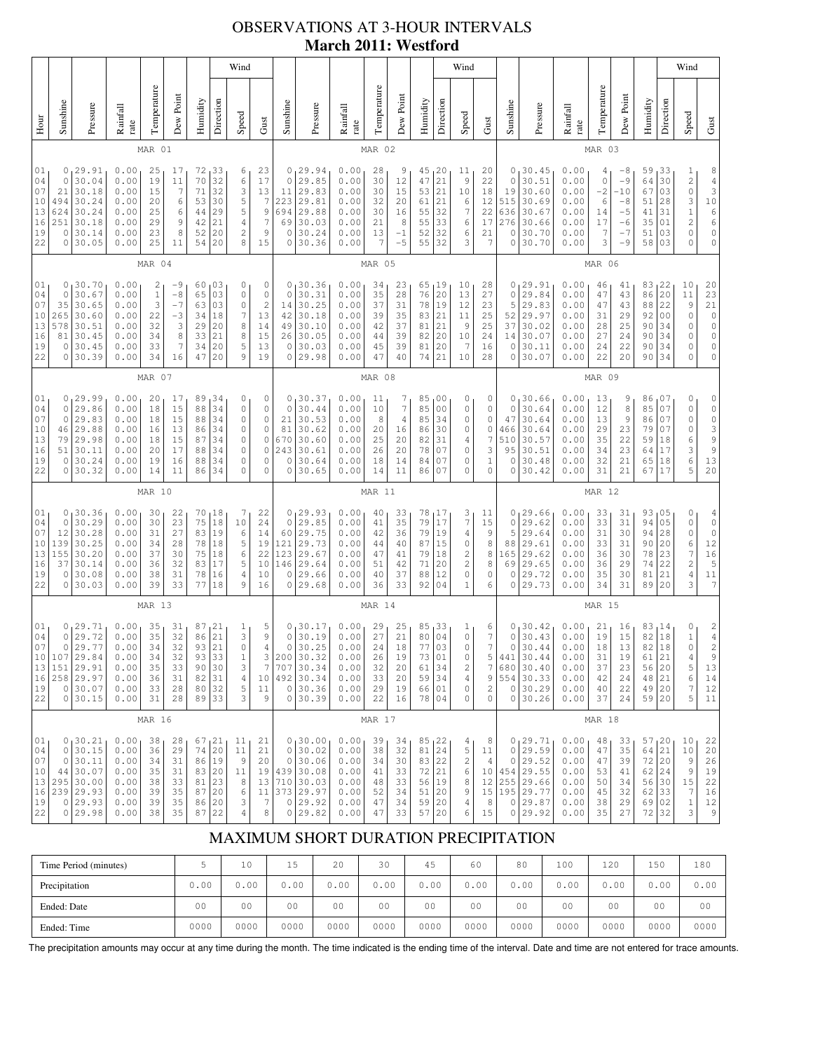# OBSERVATIONS AT 3-HOUR INTERVALS **March 2011: Westford**

|                                                                                                                                                                                                                                                                                                                                                                                                                                                                                                                 |                                                                                                                                                                                                                                                                                                                                                                                                                                                                              |                                                                                        |                                                              |                                              |                                                          | Wind<br>Wind                                       |                                                                       |                                                                                              |                                                                                          |                                                              |                                                                                       |                                                              |                                                         |                                                    |                                                       |                                                                      |                                                                               |                                                                      |                                                              |                                                                                         |                                                              | Wind                                                               |                                                                                                               |                                                                                  |                                                                                                   |                                                                            |                                                                                                                    |
|-----------------------------------------------------------------------------------------------------------------------------------------------------------------------------------------------------------------------------------------------------------------------------------------------------------------------------------------------------------------------------------------------------------------------------------------------------------------------------------------------------------------|------------------------------------------------------------------------------------------------------------------------------------------------------------------------------------------------------------------------------------------------------------------------------------------------------------------------------------------------------------------------------------------------------------------------------------------------------------------------------|----------------------------------------------------------------------------------------|--------------------------------------------------------------|----------------------------------------------|----------------------------------------------------------|----------------------------------------------------|-----------------------------------------------------------------------|----------------------------------------------------------------------------------------------|------------------------------------------------------------------------------------------|--------------------------------------------------------------|---------------------------------------------------------------------------------------|--------------------------------------------------------------|---------------------------------------------------------|----------------------------------------------------|-------------------------------------------------------|----------------------------------------------------------------------|-------------------------------------------------------------------------------|----------------------------------------------------------------------|--------------------------------------------------------------|-----------------------------------------------------------------------------------------|--------------------------------------------------------------|--------------------------------------------------------------------|---------------------------------------------------------------------------------------------------------------|----------------------------------------------------------------------------------|---------------------------------------------------------------------------------------------------|----------------------------------------------------------------------------|--------------------------------------------------------------------------------------------------------------------|
| Hour                                                                                                                                                                                                                                                                                                                                                                                                                                                                                                            | Sunshine                                                                                                                                                                                                                                                                                                                                                                                                                                                                     | Pressure                                                                               | Rainfall<br>rate                                             | Temperature                                  | Dew Point                                                | Humidity                                           | Direction                                                             | Speed                                                                                        | Gust                                                                                     | Sunshine                                                     | Pressure                                                                              | Rainfall<br>rate                                             | Temperature                                             | Dew Point                                          | Humidity                                              | Direction                                                            | Speed                                                                         | Gust                                                                 | Sunshine                                                     | Pressure                                                                                | Rainfall<br>rate                                             | Temperature                                                        | Dew Point                                                                                                     | Humidity                                                                         | Direction                                                                                         | Speed                                                                      | Gust                                                                                                               |
|                                                                                                                                                                                                                                                                                                                                                                                                                                                                                                                 |                                                                                                                                                                                                                                                                                                                                                                                                                                                                              |                                                                                        |                                                              | MAR 01                                       |                                                          |                                                    |                                                                       |                                                                                              |                                                                                          |                                                              |                                                                                       |                                                              | MAR 02                                                  |                                                    |                                                       |                                                                      |                                                                               |                                                                      |                                                              |                                                                                         |                                                              | MAR 03                                                             |                                                                                                               |                                                                                  |                                                                                                   |                                                                            |                                                                                                                    |
| 01<br>04<br>07<br>10<br>13<br>16<br>19<br>22                                                                                                                                                                                                                                                                                                                                                                                                                                                                    | 0<br>29.91<br>0.00<br>25<br>72<br>33<br>6<br>17<br>$\epsilon$<br>$\mathbb O$<br>30.04<br>0.00<br>19<br>70<br>32<br>11<br>32<br>30.18<br>71<br>3<br>21<br>0.00<br>15<br>7<br>5<br>30.24<br>494<br>0.00<br>20<br>53<br>30<br>6<br>30.24<br>29<br>5<br>624<br>0.00<br>25<br>6<br>44<br>30.18<br>21<br>251<br>0.00<br>29<br>9<br>42<br>$\overline{4}$<br>8<br>$\overline{\mathbf{c}}$<br>0<br>30.14<br>0.00<br>23<br>52<br>20<br>30.05<br>25<br>20<br>8<br>0<br>0.00<br>54<br>11 |                                                                                        |                                                              |                                              |                                                          |                                                    | 23<br>17<br>13<br>$\overline{7}$<br>9<br>7<br>9<br>15                 | 0<br>$\circ$<br>11<br>223<br>694<br>69<br>$\circ$<br>0                                       | 29.94<br>29.85<br>29.83<br>29.81<br>29.88<br>30.03<br>30.24<br>30.36                     | 0.00<br>0.00<br>0.00<br>0.00<br>0.00<br>0.00<br>0.00<br>0.00 | 28<br>30<br>30<br>32<br>30<br>21<br>13<br>7                                           | 9<br>12<br>15<br>20<br>16<br>8<br>$-1$<br>$-5$               | 45<br>47<br>53<br>61<br>55<br>55<br>52<br>55            | 20<br>21<br>21<br>21<br>32<br>33<br>32<br>32       | 11<br>9<br>$10$<br>6<br>$\overline{7}$<br>6<br>6<br>3 | 20<br>22<br>18<br>12<br>22<br>17<br>21<br>7                          | 0<br>0<br>19<br>515<br>636<br>276<br>0<br>0                                   | 30.45<br>30.51<br>30.60<br>30.69<br>30.67<br>30.66<br>30.70<br>30.70 | 0.00<br>0.00<br>0.00<br>0.00<br>0.00<br>0.00<br>0.00<br>0.00 | $\overline{4}$<br>$\mathbb O$<br>$-2$<br>6<br>14<br>17<br>7<br>3                        | $-8$<br>$-9$<br>-10<br>$-8$<br>$-5$<br>-6<br>$-7$<br>$-9$    | 59<br>64<br>67<br>51<br>41<br>35<br>51<br>58                       | 33<br>30<br>03<br>28<br>31<br>01<br>03<br>03                                                                  | $\mathbf 1$<br>$\overline{\mathbf{c}}$<br>$\circ$<br>3<br>$\,1\,$<br>2<br>0<br>0 | 8<br>$\frac{4}{3}$<br>$10$<br>$\begin{array}{c} 6 \\ 6 \end{array}$<br>$\mathbb O$<br>$\mathbb O$ |                                                                            |                                                                                                                    |
|                                                                                                                                                                                                                                                                                                                                                                                                                                                                                                                 |                                                                                                                                                                                                                                                                                                                                                                                                                                                                              |                                                                                        |                                                              | MAR 04                                       |                                                          |                                                    |                                                                       |                                                                                              |                                                                                          |                                                              |                                                                                       |                                                              | MAR 05                                                  |                                                    |                                                       |                                                                      |                                                                               |                                                                      |                                                              |                                                                                         |                                                              | MAR 06                                                             |                                                                                                               |                                                                                  |                                                                                                   |                                                                            |                                                                                                                    |
| 130.70<br>0.00<br>03<br>$\circ$<br>01<br>0<br>2<br>60<br>-9<br>03<br>$\mathbb O$<br>30.67<br>0.00<br>$\,1$<br>$\circ$<br>04<br>$-8$<br>65<br>3<br>$-7$<br>07<br>35<br>30.65<br>03<br>$\mathbb O$<br>0.00<br>63<br>30.60<br>7<br>10<br>265<br>0.00<br>22<br>$-3$<br>34<br>18<br>13<br>30.51<br>20<br>8<br>578<br>0.00<br>32<br>3<br>29<br>30.45<br>21<br>8<br>81<br>0.00<br>34<br>8<br>33<br>16<br>5<br>7<br>20<br>0<br>30.45<br>0.00<br>33<br>34<br>19<br>22<br>30.39<br>34<br>20<br>9<br>0<br>0.00<br>16<br>47 |                                                                                                                                                                                                                                                                                                                                                                                                                                                                              |                                                                                        |                                                              |                                              | 0<br>$\circ$<br>$\sqrt{2}$<br>13<br>14<br>15<br>13<br>19 | 0<br>$\mathbf 0$<br>14<br>42<br>49<br>26<br>0<br>0 | 30.36<br>30.31<br>30.25<br>30.18<br>30.10<br>30.05<br>30.03<br>29.98  | 0.00<br>0.00<br>0.00<br>0.00<br>0.00<br>0.00<br>0.00<br>0.00                                 | 34<br>35<br>37<br>39<br>42<br>44<br>45<br>47                                             | 23<br>28<br>31<br>35<br>37<br>39<br>39<br>40                 | 65<br>76<br>78<br>83<br>81<br>82<br>81<br>74                                          | 19,<br>20<br>19<br>21<br>21<br>20<br>20<br>21                | 10<br>13<br>12<br>11<br>9<br>10<br>$\overline{7}$<br>10 | 28<br>27<br>23<br>25<br>25<br>24<br>16<br>28       | 0<br>0<br>5<br>52<br>37<br>14<br>0<br>0               | 29.91<br>29.84<br>29.83<br>29.97<br>30.02<br>30.07<br>30.11<br>30.07 | 0.00<br>0.00<br>0.00<br>0.00<br>0.00<br>0.00<br>0.00<br>0.00                  | 46<br>47<br>47<br>31<br>28<br>27<br>24<br>22                         | 41<br>43<br>43<br>29<br>25<br>24<br>22<br>20                 | 83<br>86<br>88<br>92<br>90<br>90<br>90<br>90                                            | 22<br>20<br>22<br>0 <sub>0</sub><br>34<br>34<br>34<br>34     | 10<br>11<br>$\mathsf 9$<br>$\mathsf{O}\xspace$<br>0<br>0<br>0<br>0 | 20<br>23<br>$\begin{bmatrix} 21 \\ 0 \\ 0 \end{bmatrix}$<br>$\mathbb O$<br>$\mathbb O$<br>$\mathsf{O}\xspace$ |                                                                                  |                                                                                                   |                                                                            |                                                                                                                    |
|                                                                                                                                                                                                                                                                                                                                                                                                                                                                                                                 | MAR 07                                                                                                                                                                                                                                                                                                                                                                                                                                                                       |                                                                                        |                                                              |                                              |                                                          |                                                    |                                                                       |                                                                                              |                                                                                          |                                                              | MAR 08                                                                                |                                                              |                                                         |                                                    |                                                       |                                                                      |                                                                               |                                                                      |                                                              | MAR 09                                                                                  |                                                              |                                                                    |                                                                                                               |                                                                                  |                                                                                                   |                                                                            |                                                                                                                    |
| 01<br>04<br>07<br>10<br>13<br>16<br>19<br>22                                                                                                                                                                                                                                                                                                                                                                                                                                                                    | 0<br>0<br>46<br>79<br>51<br>0<br>0                                                                                                                                                                                                                                                                                                                                                                                                                                           | 0, 29.99<br>29.86<br>29.83<br>29.88<br>29.98<br>30.11<br>30.24<br>30.32                | 0.00<br>0.00<br>0.00<br>0.00<br>0.00<br>0.00<br>0.00<br>0.00 | 20<br>18<br>18<br>16<br>18<br>20<br>19<br>14 | 17<br>15<br>15<br>13<br>15<br>17<br>16<br>11             | 89<br>88<br>88<br>86<br>87<br>88<br>88<br>86       | 134<br>34<br>34<br>34<br>34<br>34<br>34<br>34                         | 0<br>$\mathbb O$<br>$\mathbb O$<br>$\circ$<br>$\mathbb O$<br>$\circ$<br>$\circ$<br>$\circ$   | 0<br>$\mathbb O$<br>$\mathbb O$<br>$\mathbb O$<br>$\mathbb O$<br>$\circ$<br>0<br>$\circ$ | 0<br>0<br>21<br>81<br>670<br>243<br>0<br>0                   | 30.37<br>30.44<br>30.53<br>30.62<br>30.60<br>30.61<br>30.64<br>30.65                  | 0.00<br>0.00<br>0.00<br>0.00<br>0.00<br>0.00<br>0.00<br>0.00 | 11<br>10<br>8<br>20<br>25<br>26<br>18<br>14             | 7<br>7<br>$\sqrt{4}$<br>16<br>20<br>20<br>14<br>11 | 85<br>85<br>85<br>86<br>82<br>78<br>84<br>86          | , 00<br>0 <sub>0</sub><br>34<br>30<br>31<br>07<br>07<br>07           | 0<br>0<br>0<br>0<br>4<br>0<br>0<br>0                                          | $\circ$<br>0<br>0<br>0<br>7<br>3<br>1<br>0                           | 0<br>0<br>47<br>466<br>510<br>95<br>0<br>$\overline{0}$      | 30.66<br>30.64<br>30.64<br>30.64<br>30.57<br>30.51<br>30.48<br>30.42                    | 0.00<br>0.00<br>0.00<br>0.00<br>0.00<br>0.00<br>0.00<br>0.00 | 13<br>12<br>13<br>29<br>35<br>34<br>32<br>31                       | 9<br>8<br>9<br>23<br>22<br>23<br>21<br>21                                                                     | 86 <sub>1</sub><br>85<br>86<br>79<br>59<br>64<br>65<br>67                        | 07<br>07<br>07<br>07<br>18<br>17<br>18<br>17                                                      | 0<br>0<br>0<br>0<br>6<br>3<br>6<br>5                                       | 0<br>$\mathbb O$<br>$\begin{array}{c}\n0 \\ 3\n\end{array}$<br>9<br>$\overline{9}$<br>13<br>20                     |
|                                                                                                                                                                                                                                                                                                                                                                                                                                                                                                                 |                                                                                                                                                                                                                                                                                                                                                                                                                                                                              |                                                                                        |                                                              | MAR 10                                       |                                                          |                                                    |                                                                       |                                                                                              |                                                                                          |                                                              |                                                                                       |                                                              | MAR 11                                                  |                                                    |                                                       |                                                                      |                                                                               |                                                                      |                                                              |                                                                                         |                                                              | MAR 12                                                             |                                                                                                               |                                                                                  |                                                                                                   |                                                                            |                                                                                                                    |
| 01<br>04<br>07<br>10<br>13<br>16<br>19<br>22                                                                                                                                                                                                                                                                                                                                                                                                                                                                    | 0<br>0<br>12<br>139<br>155<br>37<br>0<br>0                                                                                                                                                                                                                                                                                                                                                                                                                                   | 130.36<br>30.29<br>30.28<br>30.25<br>30.20<br>30.14<br>30.08<br>30.03                  | 0.00<br>0.00<br>0.00<br>0.00<br>0.00<br>0.00<br>0.00<br>0.00 | 30<br>30<br>31<br>34<br>37<br>36<br>38<br>39 | 22<br>23<br>27<br>28<br>30<br>32<br>31<br>33             | 70,18<br>75<br>83 19<br>78<br>75<br>83<br>78<br>77 | $1\,8$<br>18<br>18<br>17<br>16<br>18                                  | 7<br>10<br>6<br>5<br>6<br>5<br>$\overline{4}$<br>9                                           | 22<br>24<br>14<br>19<br>22<br>10<br>10<br>16                                             | 0<br>$\circ$<br>60<br>121<br>123<br>146<br>$\circ$<br>0      | 29.93<br>29.85<br>29.75<br>29.73<br>29.67<br>29.64<br>29.66<br>29.68                  | 0.00<br>0.00<br>0.00<br>0.00<br>0.00<br>0.00<br>0.00<br>0.00 | 40<br>41<br>42<br>44<br>47<br>51<br>40<br>36            | 33<br>35<br>36<br>40<br>41<br>42<br>37<br>33       | 78<br>79<br>79<br>87<br>79<br>71<br>88<br>92          | 17<br>17<br>19<br>15<br>18<br>20<br>12<br>04                         | 3<br>7<br>$\,4$<br>0<br>2<br>$\overline{c}$<br>0<br>1                         | 11<br>15<br>9<br>8<br>8<br>8<br>0<br>6                               | 0<br>0<br>5<br>88<br>165<br>69<br>$\circ$<br>0               | 29.66<br>29.62<br>29.64<br>29.61<br>29.62<br>29.65<br>29.72<br>29.73                    | 0.00<br>0.00<br>0.00<br>0.00<br>0.00<br>0.00<br>0.00<br>0.00 | 33<br>33<br>31<br>33<br>36<br>36<br>35<br>34                       | 31<br>31<br>30<br>31<br>30<br>29<br>30<br>31                                                                  | 93<br>94<br>94<br>90<br>78<br>74<br>81<br>89                                     | 05<br>05<br>28<br>20<br>23<br>22<br>21<br>20                                                      | 0<br>0<br>0<br>6<br>$\overline{\mathcal{I}}$<br>$\overline{c}$<br>4<br>3   | $\overline{4}$<br>$\mathbb O$<br>$\mathbb O$<br>$12$<br>$16$<br>5<br>$\begin{smallmatrix}1&1\\&7\end{smallmatrix}$ |
|                                                                                                                                                                                                                                                                                                                                                                                                                                                                                                                 |                                                                                                                                                                                                                                                                                                                                                                                                                                                                              | MAR 13                                                                                 |                                                              |                                              |                                                          |                                                    |                                                                       |                                                                                              |                                                                                          |                                                              |                                                                                       | MAR 14                                                       |                                                         |                                                    |                                                       |                                                                      |                                                                               |                                                                      |                                                              |                                                                                         | MAR 15                                                       |                                                                    |                                                                                                               |                                                                                  |                                                                                                   |                                                                            |                                                                                                                    |
| 01<br>04<br>07<br>10<br>13<br>16<br>19<br>22                                                                                                                                                                                                                                                                                                                                                                                                                                                                    | 107<br> 151                                                                                                                                                                                                                                                                                                                                                                                                                                                                  | $0^{29.71}_{029.72}$<br>0 29.77 <br>29.84<br>29.91<br>258 29.97<br>0 30.07<br>0 30.15  | 0.00<br>0.00<br>0.00<br>0.00<br>0.00<br>0.00<br>0.00<br>0.00 | 35<br>35<br>34<br>34<br>35<br>36<br>33<br>31 | 31<br>32<br>32<br>32<br>33<br>31<br>28<br>28             | 87<br>86<br>93<br>93<br>90<br>82<br>80<br>89 33    | $\begin{array}{c} 21 \\ 21 \end{array}$<br>21<br>33<br>30<br>31<br>32 | $\frac{1}{3}$<br>$\circ$<br>$\mathbf 1$<br>$\ensuremath{\mathsf{3}}$<br>$\sqrt{4}$<br>5<br>3 | $\frac{5}{9}$<br>$\overline{4}$<br>3<br>$\gamma$<br>10<br>11<br>9                        | 0<br>$\mathbb O$<br>$\circ$<br>200 <br>707<br>$\mathbb O$    | 30.17<br>30.19<br>30.25<br>30.32<br>30.34<br>492 30.34<br>30.36<br>0 30.39            | 0.00<br>0.00<br>0.00<br>0.00<br>0.00<br>0.00<br>0.00<br>0.00 | 29<br>27<br>24<br>26<br>32<br>33<br>29<br>22            | 25<br>21<br>18<br>19<br>20<br>20<br>19<br>16       | 85<br>80<br>77<br>73<br>61<br>59<br>66<br>78 04       | 33<br>04<br>03<br>01<br>34<br>34<br>01                               | $\frac{1}{0}$<br>$\circ$<br>0<br>$\sqrt{2}$<br>$\sqrt{4}$<br>$\mathbb O$<br>0 | 6<br>$\tau$<br>$\overline{7}$<br>5<br>7<br>9<br>$\mathbf{2}$<br>0    | 0<br>$\circ$<br>441                                          | $30.42$<br>$30.43$<br>0 30.44<br>30.44<br>680 30.40<br>554 30.33<br>0130.29<br>0 30.26  | 0.00<br>0.00<br>0.00<br>0.00<br>0.00<br>0.00<br>0.00<br>0.00 | 21<br>19<br>18 <sup>1</sup><br>31<br>37<br>42<br>40<br>37          | 16<br>15<br>13<br>19<br>23<br>24<br>22<br>24                                                                  | 83 14<br>82<br>82<br>61<br>56<br>$4\,8$<br>49 20<br>$59$   20                    | 18<br>18<br>21<br> 20<br>21                                                                       | 0<br>$\mathbf 1$<br>$\circ$<br>4<br>5<br>6<br>7<br>5                       | $_4^2$<br>$\overline{c}$<br>$\,9$<br>13<br>14<br>12<br>11                                                          |
|                                                                                                                                                                                                                                                                                                                                                                                                                                                                                                                 |                                                                                                                                                                                                                                                                                                                                                                                                                                                                              |                                                                                        |                                                              | MAR 16                                       |                                                          |                                                    |                                                                       |                                                                                              |                                                                                          |                                                              |                                                                                       |                                                              | MAR 17                                                  |                                                    |                                                       |                                                                      |                                                                               |                                                                      |                                                              |                                                                                         |                                                              | MAR 18                                                             |                                                                                                               |                                                                                  |                                                                                                   |                                                                            |                                                                                                                    |
| 01<br>04<br>07<br>10<br>13<br>16<br>19<br>22                                                                                                                                                                                                                                                                                                                                                                                                                                                                    | $\circ$<br>$\circ$                                                                                                                                                                                                                                                                                                                                                                                                                                                           | 0, 30.21<br>30.15<br>30.11<br>44 30.07<br>295 30.00<br>239 29.93<br>0 29.93<br>0 29.98 | 0.00<br>0.00<br>0.00<br>0.00<br>0.00<br>0.00<br>0.00<br>0.00 | 38<br>36<br>34<br>35<br>38<br>39<br>39<br>38 | 28<br>29<br>31<br>31<br>33<br>35<br>35<br>35             | 67 21<br>74<br>86<br>83 20<br>81<br>87<br>86<br>87 | 20<br>19<br>23<br>20<br>20<br>22                                      | 11<br>11<br>$\,9$<br>11<br>8<br>6<br>3<br>4                                                  | 21<br>21<br>20<br>19<br>13<br>11<br>7<br>8                                               | $\circ$<br>$\circ$<br>$\mathbf 0$                            | 0, 30.00<br>30.02<br>30.06<br>439 30.08<br>710 30.03<br>373 29.97<br>0 29.92<br>29.82 | 0.00<br>0.00<br>0.00<br>0.00<br>0.00<br>0.00<br>0.00<br>0.00 | 39<br>38<br>34<br>41<br>48<br>52<br>47<br>47            | 34<br>32<br>30<br>33<br>33<br>34<br>34<br>33       | 85, 22<br>81<br>83<br>$72\,$<br>56<br>51<br>59<br>57  | 24<br>22<br> 21<br>19<br>20<br>20<br>20                              | 4<br>5<br>$\overline{\mathbf{c}}$<br>$\epsilon$<br>8<br>9<br>4<br>6           | 8<br>$1\,1$<br>$\overline{4}$<br>10<br>12<br>15<br>8<br>15           | 0<br>0                                                       | 0, 29.71<br>29.59<br>29.52<br>454 29.55<br>255 29.66<br>195 29.77<br>0 29.87<br>0 29.92 | 0.00<br>0.00<br>0.00<br>0.00<br>0.00<br>0.00<br>0.00<br>0.00 | $4\,8$<br>47<br>47<br>53<br>50<br>45<br>38<br>35                   | 33<br>35<br>39<br>41<br>34<br>32<br>29<br>27                                                                  | 57,20<br>64<br>72 20<br>$62 \mid 24$<br>56<br>62 33<br>69 02<br>72 32            | 21<br>30                                                                                          | 10<br>10<br>$\,9$<br>$\mathsf 9$<br>$1\,5$<br>$\overline{7}$<br>$1\,$<br>3 | 22<br>20<br>26<br>19<br>22<br>16<br>12<br>$\,9$                                                                    |

### MAXIMUM SHORT DURATION PRECIPITATION

| Time Period (minutes) |                | 10             | 1 E            | 20             | 30             | 45             | 60             | 80             | 100            | 120  | 150            | 180            |
|-----------------------|----------------|----------------|----------------|----------------|----------------|----------------|----------------|----------------|----------------|------|----------------|----------------|
| Precipitation         | 0.00           | 0.00           | 0.00           | 0.00           | 0.00           | 0.00           | 0.00           | 0.00           | 0.00           | 0.00 | 0.00           | 0.00           |
| Ended: Date           | 0 <sub>0</sub> | 0 <sub>0</sub> | 0 <sub>0</sub> | 0 <sup>0</sup> | 0 <sub>0</sub> | 0 <sub>0</sub> | 0 <sub>0</sub> | 0 <sub>0</sub> | 0 <sub>0</sub> | 00   | 0 <sup>0</sup> | 0 <sup>0</sup> |
| Ended: Time           | 0000           | 0000           | 0000           | 0000           | 0000           | 0000           | 0000           | 0000           | 0000           | 0000 | 0000           | 0000           |

The precipitation amounts may occur at any time during the month. The time indicated is the ending time of the interval. Date and time are not entered for trace amounts.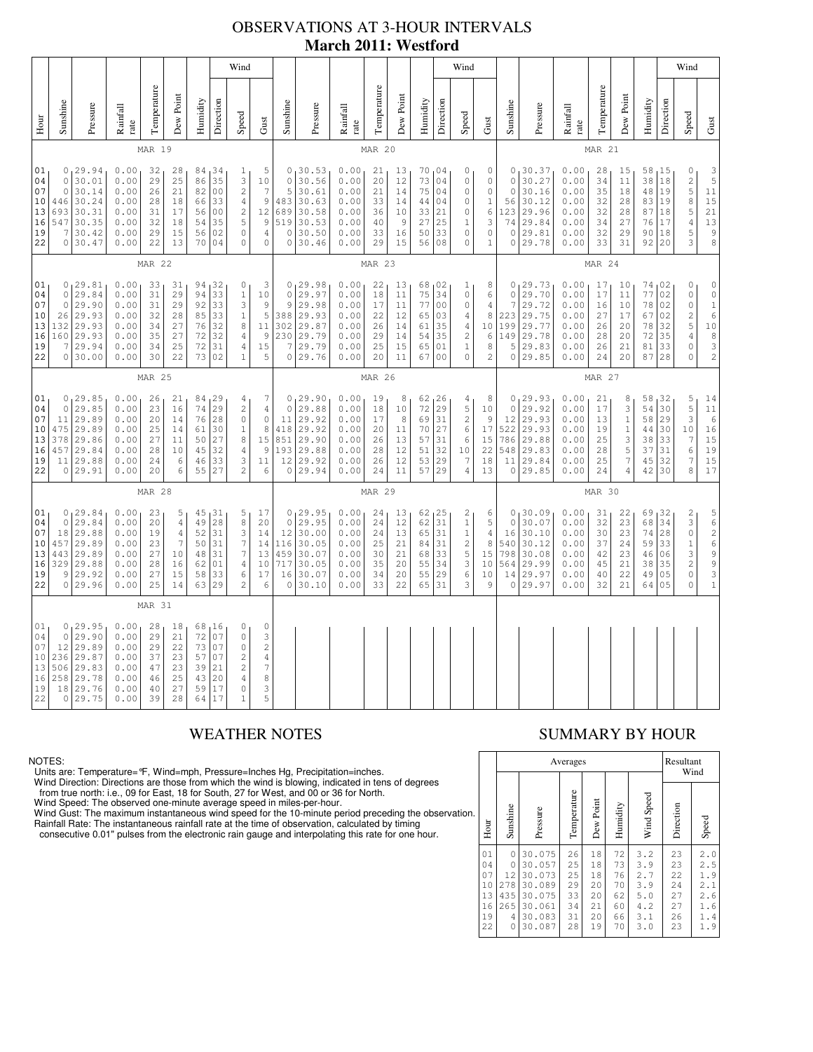# OBSERVATIONS AT 3-HOUR INTERVALS **March 2011: Westford**

|                                                                                                                                                                                                                                                                                                                                                                                                                                                                                                                                                                                                                                                      |                                                     |                                                                               |                                                              |                                              |                                                                               |                                                               |                                                                         | Wind                                                                                                           |                                                                                                  |                                                              |                                                                         |                                                              |                                                                                                        |                                                                        |                                                                   |                                                                         | Wind                                                                                                                 |                                                                       |                                                                 |                                                                           |                                                              |                                                        |                                                                                |                                                 |                                              | Wind                                                                                                              |                                                                                                                             |
|------------------------------------------------------------------------------------------------------------------------------------------------------------------------------------------------------------------------------------------------------------------------------------------------------------------------------------------------------------------------------------------------------------------------------------------------------------------------------------------------------------------------------------------------------------------------------------------------------------------------------------------------------|-----------------------------------------------------|-------------------------------------------------------------------------------|--------------------------------------------------------------|----------------------------------------------|-------------------------------------------------------------------------------|---------------------------------------------------------------|-------------------------------------------------------------------------|----------------------------------------------------------------------------------------------------------------|--------------------------------------------------------------------------------------------------|--------------------------------------------------------------|-------------------------------------------------------------------------|--------------------------------------------------------------|--------------------------------------------------------------------------------------------------------|------------------------------------------------------------------------|-------------------------------------------------------------------|-------------------------------------------------------------------------|----------------------------------------------------------------------------------------------------------------------|-----------------------------------------------------------------------|-----------------------------------------------------------------|---------------------------------------------------------------------------|--------------------------------------------------------------|--------------------------------------------------------|--------------------------------------------------------------------------------|-------------------------------------------------|----------------------------------------------|-------------------------------------------------------------------------------------------------------------------|-----------------------------------------------------------------------------------------------------------------------------|
| Hour                                                                                                                                                                                                                                                                                                                                                                                                                                                                                                                                                                                                                                                 | Sunshine                                            | Pressure                                                                      | Rainfall<br>rate                                             | Temperature                                  | Dew Point                                                                     | Humidity                                                      | Direction                                                               | Speed                                                                                                          | Gust                                                                                             | Sunshine                                                     | Pressure                                                                | Rainfall<br>rate                                             | Temperature                                                                                            | Dew Point                                                              | Humidity                                                          | Direction                                                               | Speed                                                                                                                | $\mbox{Gust}$                                                         | Sunshine                                                        | Pressure                                                                  | Rainfall<br>rate                                             | Temperature                                            | Dew Point                                                                      | Humidity                                        | Direction                                    | Speed                                                                                                             | Gust                                                                                                                        |
|                                                                                                                                                                                                                                                                                                                                                                                                                                                                                                                                                                                                                                                      |                                                     |                                                                               |                                                              | MAR 19                                       |                                                                               |                                                               |                                                                         |                                                                                                                |                                                                                                  |                                                              |                                                                         |                                                              | MAR 20                                                                                                 |                                                                        |                                                                   |                                                                         |                                                                                                                      |                                                                       | MAR 21                                                          |                                                                           |                                                              |                                                        |                                                                                |                                                 |                                              |                                                                                                                   |                                                                                                                             |
| 0, 29.94<br>0.00<br>84 34<br>01<br>32<br>28<br>5<br>$\mathbf{1}$<br>35<br>3<br>$\mathbb O$<br>30.01<br>0.00<br>29<br>25<br>04<br>86<br>10<br>$\overline{c}$<br>07<br>$\mathbb O$<br>30.14<br>0.00<br>21<br>82<br>$\overline{7}$<br>26<br>00<br>30.24<br>$\mathsf 9$<br>10<br>446<br>0.00<br>28<br>18<br>66<br>33<br>$\sqrt{4}$<br>30.31<br>$\sqrt{2}$<br>12<br>13<br>693<br>0.00<br>31<br>17<br>56<br>0 <sub>0</sub><br>547<br>30.35<br>35<br>5<br>$\,9$<br>16<br>0.00<br>32<br>18<br>54<br>$\circ$<br>19<br>7<br>30.42<br>0.00<br>29<br>15<br>56<br>02<br>$\overline{4}$<br>0 30.47<br>22<br>13<br>70<br>04<br>$\circ$<br>$\mathbf 0$<br>22<br>0.00 |                                                     |                                                                               |                                                              |                                              |                                                                               | $\mathsf{O}\xspace$<br>5<br>483<br>689<br>519<br>0<br>$\circ$ | 0, 30.53<br>30.56<br>30.61<br>30.63<br>30.58<br>30.53<br>30.50<br>30.46 | 0.00<br>0.00<br>0.00<br>0.00<br>0.00<br>0.00<br>0.00<br>0.00                                                   | 21<br>20<br>21<br>33<br>36<br>40<br>33<br>29                                                     | 13<br>12<br>14<br>14<br>10<br>9<br>16<br>15                  | 70,04<br>73<br>75<br>44<br>33<br>27<br>50<br>56                         | 04<br>04<br>04<br>21<br>25<br>33<br>08                       | 0<br>$\mathsf{O}\xspace$<br>$\mathsf{O}\xspace$<br>$\mathbb O$<br>0<br>$\mathbf 1$<br>$\mathbb O$<br>0 | 0<br>$\mathbb O$<br>$\mathbf 0$<br>$\,1$<br>6<br>3<br>0<br>$\mathbf 1$ | $\mathsf{O}\xspace$<br>$\circ$<br>56<br>123<br>74<br>0<br>$\circ$ | 0, 30.37<br>30.27<br>30.16<br>30.12<br>29.96<br>29.84<br>29.81<br>29.78 | 0.00<br>0.00<br>0.00<br>0.00<br>0.00<br>0.00<br>0.00<br>0.00                                                         | 28<br>34<br>35<br>32<br>32<br>34<br>32<br>33                          | 15<br>11<br>18<br>28<br>28<br>27<br>29<br>31                    | 58, 15<br>38<br>48<br>83<br>87<br>76<br>90<br>92                          | 18<br>19<br>19<br>18<br>17<br>18<br>20                       | 0<br>$\sqrt{2}$<br>5<br>8<br>5<br>$\sqrt{4}$<br>5<br>3 | $\frac{3}{5}$<br>11<br>15<br>21<br>13<br>$\begin{array}{c} 9 \\ 8 \end{array}$ |                                                 |                                              |                                                                                                                   |                                                                                                                             |
| <b>MAR 22</b>                                                                                                                                                                                                                                                                                                                                                                                                                                                                                                                                                                                                                                        |                                                     |                                                                               |                                                              |                                              |                                                                               |                                                               |                                                                         |                                                                                                                |                                                                                                  |                                                              | MAR 23                                                                  |                                                              |                                                                                                        |                                                                        |                                                                   |                                                                         |                                                                                                                      |                                                                       |                                                                 | MAR 24                                                                    |                                                              |                                                        |                                                                                |                                                 |                                              |                                                                                                                   |                                                                                                                             |
| 01<br>04<br>07<br>10<br>13<br>16<br>19<br>22                                                                                                                                                                                                                                                                                                                                                                                                                                                                                                                                                                                                         | $\circ$<br>$\Omega$<br>26<br>132<br>7               | 0, 29.81<br>29.84<br>29.90<br>29.93<br>29.93<br>160 29.93<br>29.94<br>0130.00 | 0.00<br>0.00<br>0.00<br>0.00<br>0.00<br>0.00<br>0.00<br>0.00 | 33<br>31<br>31<br>32<br>34<br>35<br>34<br>30 | 31<br>29<br>29<br>28<br>27<br>27<br>25<br>22                                  | 94<br>94<br>92<br>85<br>76<br>72<br>72<br>73                  | 32<br>33<br>33<br>33<br>32<br>32<br>31<br>02                            | $\circ$<br>$\mathbf{1}$<br>3<br>$\,1\,$<br>$\,8\,$<br>$\overline{4}$<br>$\sqrt{4}$<br>$\mathbf{1}$             | 3<br>10<br>9<br>5<br>11<br>9<br>15<br>5                                                          | $\mathbf 0$<br>9<br>388<br>302<br>230<br>7<br>0              | 0, 29.98<br>29.97<br>29.98<br>29.93<br>29.87<br>29.79<br>29.79<br>29.76 | 0.00<br>0.00<br>0.00<br>0.00<br>0.00<br>0.00<br>0.00<br>0.00 | 22<br>18<br>17<br>22<br>26<br>29<br>25<br>20                                                           | 13<br>11<br>11<br>12<br>14<br>14<br>15<br>11                           | 68,02<br>75<br>77<br>65<br>61<br>54<br>65<br>67                   | 34<br>0 <sub>0</sub><br>03<br>35<br>35<br>01<br>0 <sub>0</sub>          | 1<br>$\mathsf{O}\xspace$<br>$\mathbb O$<br>$\overline{4}$<br>$\overline{4}$<br>$\sqrt{2}$<br>$\,1$<br>$\overline{0}$ | 8<br>6<br>$\overline{4}$<br>$\,8\,$<br>10<br>6<br>8<br>$\overline{c}$ | $\circ$<br>7<br>223<br>199<br>149<br>5<br>0                     | 0, 29.73<br>29.70<br>29.72<br>29.75<br>29.77<br>29.78<br>29.83<br>29.85   | 0.00<br>0.00<br>0.00<br>0.00<br>0.00<br>0.00<br>0.00<br>0.00 | 17<br>17<br>16<br>27<br>26<br>28<br>26<br>24           | 10<br>11<br>10<br>17<br>20<br>20<br>21<br>20                                   | 74<br>77<br>78<br>67<br>78<br>72<br>81<br>87    | 02<br>02<br>02<br>02<br>32<br>35<br>33<br>28 | 0<br>$\mathbb O$<br>$\mathbb O$<br>$\overline{\mathbf{c}}$<br>5<br>$\sqrt{4}$<br>$\mathbb O$<br>$\circ$           | $\mathsf{O}\xspace$<br>$\mathbb O$<br>$\begin{array}{c} 1 \\ 6 \end{array}$<br>$1\,0$<br>$\,$ 8 $\,$<br>3<br>$\overline{c}$ |
|                                                                                                                                                                                                                                                                                                                                                                                                                                                                                                                                                                                                                                                      |                                                     |                                                                               |                                                              | MAR 25                                       |                                                                               |                                                               |                                                                         |                                                                                                                |                                                                                                  | MAR 26                                                       |                                                                         |                                                              |                                                                                                        |                                                                        |                                                                   |                                                                         | MAR 27                                                                                                               |                                                                       |                                                                 |                                                                           |                                                              |                                                        |                                                                                |                                                 |                                              |                                                                                                                   |                                                                                                                             |
| 01<br>04<br>07<br>10<br>13<br>16<br>19<br>22                                                                                                                                                                                                                                                                                                                                                                                                                                                                                                                                                                                                         | $\circ$<br>11<br>475<br>378<br>457                  | 0, 29.85<br>29.85<br>29.89<br>29.89<br>29.86<br>29.84<br>11 29.88<br>0 29.91  | 0.00<br>0.00<br>0.00<br>0.00<br>0.00<br>0.00<br>0.00<br>0.00 | 26<br>23<br>20<br>25<br>27<br>28<br>24<br>20 | 21<br>16<br>14<br>14<br>11<br>10<br>6<br>6                                    | 74<br>76<br>61<br>50<br>45<br>46<br>55                        | 84, 29<br>29<br>28<br>30<br>27<br>32<br>33<br>27                        | 4<br>$\sqrt{2}$<br>$\mathbb O$<br>$\mathbf 1$<br>8<br>4<br>3<br>$\sqrt{2}$                                     | $\boldsymbol{7}$<br>$\overline{4}$<br>$\mathbb O$<br>8<br>15<br>9<br>11<br>6                     | 0<br>$\mathbf 0$<br>11<br>418<br>851<br>193<br>12<br>$\circ$ | 129.90<br>29.88<br>29.92<br>29.92<br>29.90<br>29.88<br>29.92<br>29.94   | 0.00<br>0.00<br>0.00<br>0.00<br>0.00<br>0.00<br>0.00<br>0.00 | 19<br>18<br>17<br>20<br>26<br>28<br>26<br>24                                                           | 8<br>10<br>8<br>11<br>13<br>12<br>12<br>11                             | 62, 26<br>72<br>69<br>70<br>57<br>51<br>53<br>57 29               | 29<br>31<br>27<br>31<br>32<br>29                                        | 4<br>5<br>$\sqrt{2}$<br>6<br>6<br>10<br>$\overline{7}$<br>$\overline{4}$                                             | 8<br>10<br>9<br>17<br>15<br>22<br>18<br>13                            | $\circ$<br>12<br>522<br>786<br>548<br>11                        | 0, 29.93<br>29.92<br>29.93<br>29.93<br>29.88<br>29.83<br>29.84<br>0 29.85 | 0.00<br>0.00<br>0.00<br>0.00<br>0.00<br>0.00<br>0.00<br>0.00 | 21<br>17<br>13<br>19<br>25<br>28<br>25<br>24           | 8<br>3<br>$\mathbf{1}$<br>$\mathbf{1}$<br>3<br>5<br>7<br>4                     | 58<br>54<br>58<br>44<br>38<br>37<br>45<br>42 30 | 132<br>30<br>29<br>30<br>33<br>31<br>32      | 5<br>5<br>3<br>10<br>7<br>6<br>7<br>8                                                                             | 14<br>$11\,$<br>$\begin{array}{c} 6 \\ 16 \end{array}$<br>15<br>19<br>15<br>17                                              |
|                                                                                                                                                                                                                                                                                                                                                                                                                                                                                                                                                                                                                                                      |                                                     |                                                                               |                                                              | MAR 28                                       |                                                                               |                                                               |                                                                         |                                                                                                                |                                                                                                  |                                                              |                                                                         |                                                              | MAR 29                                                                                                 |                                                                        |                                                                   |                                                                         |                                                                                                                      |                                                                       |                                                                 |                                                                           |                                                              | MAR 30                                                 |                                                                                |                                                 |                                              |                                                                                                                   |                                                                                                                             |
| 01<br>04<br>07<br>10<br>13<br>16<br>19<br>22                                                                                                                                                                                                                                                                                                                                                                                                                                                                                                                                                                                                         | $\mathbb O$<br>18<br>457<br>443<br>329<br>9         | 0, 29.84<br>29.84<br>29.88<br>29.89<br>29.89<br> 29.88<br>29.92<br>0 29.96    | 0.00<br>0.00<br>0.00<br>0.00<br>0.00<br>0.00<br>0.00<br>0.00 | 23<br>20<br>19<br>23<br>27<br>28<br>27<br>25 | 5<br>$\sqrt{4}$<br>$\overline{4}$<br>$\boldsymbol{7}$<br>10<br>16<br>15<br>14 | 45<br>49<br>52<br>50<br>48<br>62<br>58<br>63                  | 31<br>28<br>31<br>31<br>31<br>01<br>33<br>29                            | 5<br>$\,8\,$<br>3<br>$\boldsymbol{7}$<br>$\overline{7}$<br>4<br>6<br>$\overline{c}$                            | 17<br>20<br>14<br>14<br>13<br>$10$<br>17<br>6                                                    | $\mathbb O$<br>12<br>116<br>459<br>717<br>16<br>$\mathbf{0}$ | 0, 29.95<br>29.95<br>30.00<br>30.05<br>30.07<br>30.05<br>30.07<br>30.10 | 0.00<br>0.00<br>0.00<br>0.00<br>0.00<br>0.00<br>0.00<br>0.00 | 24<br>24<br>24<br>25<br>30<br>35<br>34<br>33                                                           | 13<br>12<br>13<br>21<br>21<br>20<br>20<br>22                           | 62, 25<br>62<br>65 31<br>84<br>68<br>55<br>55<br>65               | 31<br> 31<br>33<br>34<br>29<br>31                                       | 2<br>$\,1\,$<br>$\,1$<br>$\overline{c}$<br>5<br>3<br>6<br>3                                                          | 6<br>5<br>$\overline{4}$<br>$\,8\,$<br>15<br>10<br>10<br>9            | 0 <sub>1</sub><br>$\circ$<br>16<br>540<br>798<br>564<br>14<br>0 | 30.09<br>30.07<br>30.10<br>30.12<br>30.08<br>29.99<br>29.97<br>29.97      | 0.00<br>0.00<br>0.00<br>0.00<br>0.00<br>0.00<br>0.00<br>0.00 | 31<br>32<br>30<br>37<br>42<br>45<br>40<br>32           | 22<br>23<br>23<br>24<br>23<br>21<br>22<br>21                                   | 69<br>68<br>74<br>59<br>46<br>38<br>49<br>64    | 32<br>34<br>28<br>33<br>06<br>35<br>05<br>05 | $\mathbf{2}$<br>$\begin{array}{c} 3 \\ 0 \end{array}$<br>$\mathbf 1$<br>3<br>$\sqrt{2}$<br>$\mathbb O$<br>$\circ$ | 5626<br>9931                                                                                                                |
|                                                                                                                                                                                                                                                                                                                                                                                                                                                                                                                                                                                                                                                      |                                                     |                                                                               |                                                              | MAR 31                                       |                                                                               |                                                               |                                                                         |                                                                                                                |                                                                                                  |                                                              |                                                                         |                                                              |                                                                                                        |                                                                        |                                                                   |                                                                         |                                                                                                                      |                                                                       |                                                                 |                                                                           |                                                              |                                                        |                                                                                |                                                 |                                              |                                                                                                                   |                                                                                                                             |
| 01<br>04<br>07<br>10<br>13<br>16<br>19<br>22                                                                                                                                                                                                                                                                                                                                                                                                                                                                                                                                                                                                         | $\circ$<br>12<br>236<br>506<br>258<br>18<br>$\circ$ | 0, 29.95<br>29.90<br>29.89<br>29.87<br>29.83<br>29.78<br>29.76<br>29.75       | 0.00<br>0.00<br>0.00<br>0.00<br>0.00<br>0.00<br>0.00<br>0.00 | 28<br>29<br>29<br>37<br>47<br>46<br>40<br>39 | 18<br>21<br>22<br>23<br>23<br>25<br>27<br>28                                  | 72<br>73<br>39<br>43<br>59<br>64                              | 68, 16<br>07<br>07<br>57 07<br>21<br>20<br>17<br>17                     | $\circ$<br>$\mathbb O$<br>$\mathbb O$<br>$\sqrt{2}$<br>$\sqrt{2}$<br>$\sqrt{4}$<br>$\mathbb O$<br>$\mathbf{1}$ | $\circ$<br>3<br>$\overline{\mathbf{c}}$<br>$\sqrt{4}$<br>$\overline{7}$<br>$\,$ 8 $\,$<br>3<br>5 |                                                              |                                                                         |                                                              |                                                                                                        |                                                                        |                                                                   |                                                                         |                                                                                                                      |                                                                       |                                                                 |                                                                           |                                                              |                                                        |                                                                                |                                                 |                                              |                                                                                                                   |                                                                                                                             |

### NOTES:

Units are: Temperature=°F, Wind=mph, Pressure=Inches Hg, Precipitation=inches.

Wind Direction: Directions are those from which the wind is blowing, indicated in tens of degrees<br>from true north: i.e., 09 for East, 18 for South, 27 for West, and 00 or 36 for North.<br>Wind Speed: The observed one-minute a

Wind Gust: The maximum instantaneous wind speed for the 10-minute period preceding the observation Rainfall Rate: The instantaneous rainfall rate at the time of observation, calculated by timing

consecutive 0.01" pulses from the electronic rain gauge and interpolating this rate for one hour.

# WEATHER NOTES SUMMARY BY HOUR

|    |                                              |                                             | Resultant<br>Wind                                                            |                                              |                                              |                                              |                                                      |                                              |                                                      |
|----|----------------------------------------------|---------------------------------------------|------------------------------------------------------------------------------|----------------------------------------------|----------------------------------------------|----------------------------------------------|------------------------------------------------------|----------------------------------------------|------------------------------------------------------|
| ì. | Hour                                         | Sunshine                                    | Pressure                                                                     | Temperature                                  | Dew Point                                    | Humidity                                     | Wind Speed                                           | Direction                                    | Speed                                                |
|    | 01<br>04<br>07<br>10<br>13<br>16<br>19<br>22 | 0<br>0<br>12<br>278<br>435<br>265<br>4<br>0 | 30.075<br>30.057<br>30.073<br>30.089<br>30.075<br>30.061<br>30.083<br>30.087 | 26<br>25<br>25<br>29<br>33<br>34<br>31<br>28 | 18<br>18<br>18<br>20<br>20<br>21<br>20<br>19 | 72<br>73<br>76<br>70<br>62<br>60<br>66<br>70 | 3.2<br>3.9<br>2.7<br>3.9<br>5.0<br>4.2<br>3.1<br>3.0 | 23<br>23<br>22<br>24<br>27<br>27<br>26<br>23 | 2.0<br>2.5<br>1.9<br>2.1<br>2.6<br>1.6<br>1.4<br>1.9 |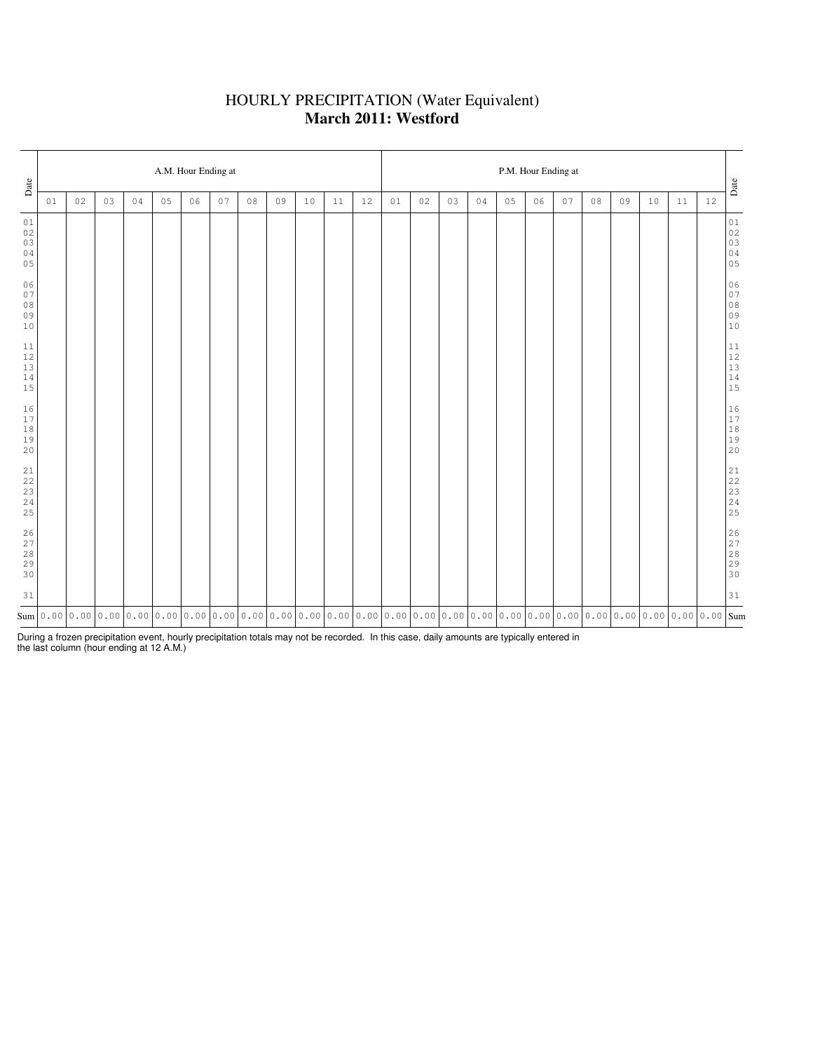### HOURLY PRECIPITATION (Water Equivalent) **March 2011: Westford**

| Date                                 |    | A.M. Hour Ending at |    |    |    |    |    |    |    |    |    |    |    |    |    | P.M. Hour Ending at |    |    |    |    |    |    |    |      |                                                           |  |  |  |
|--------------------------------------|----|---------------------|----|----|----|----|----|----|----|----|----|----|----|----|----|---------------------|----|----|----|----|----|----|----|------|-----------------------------------------------------------|--|--|--|
|                                      | 01 | 02                  | 03 | 04 | 05 | 06 | 07 | 08 | 09 | 10 | 11 | 12 | 01 | 02 | 03 | 04                  | 05 | 06 | 07 | 08 | 09 | 10 | 11 | $12$ | $_{\mbox{\textbf{Date}}}$                                 |  |  |  |
| 01<br>02<br>03<br>04<br>05           |    |                     |    |    |    |    |    |    |    |    |    |    |    |    |    |                     |    |    |    |    |    |    |    |      | $0\,1$<br>$02$<br>02<br>03<br>04<br>05                    |  |  |  |
| 06<br>$0\,7$<br>$0\,8$<br>09<br>10   |    |                     |    |    |    |    |    |    |    |    |    |    |    |    |    |                     |    |    |    |    |    |    |    |      | 06<br>07<br>$08$<br>$09$<br>$10$                          |  |  |  |
| 11<br>$12$<br>$13\,$<br>$1\,4$<br>15 |    |                     |    |    |    |    |    |    |    |    |    |    |    |    |    |                     |    |    |    |    |    |    |    |      | $\begin{array}{c} 11 \\ 12 \\ 13 \\ 14 \\ 15 \end{array}$ |  |  |  |
| 16<br>17<br>$1\,8$<br>19<br>20       |    |                     |    |    |    |    |    |    |    |    |    |    |    |    |    |                     |    |    |    |    |    |    |    |      | $\begin{array}{c} 16 \\ 17 \\ 18 \\ 19 \\ 20 \end{array}$ |  |  |  |
| $2\sqrt{1}$<br>22<br>23<br>24<br>25  |    |                     |    |    |    |    |    |    |    |    |    |    |    |    |    |                     |    |    |    |    |    |    |    |      | $21$<br>$22$<br>$23$<br>$24$<br>$25$                      |  |  |  |
| 26<br>27<br>$2\,8$<br>29<br>30       |    |                     |    |    |    |    |    |    |    |    |    |    |    |    |    |                     |    |    |    |    |    |    |    |      | 26<br>27<br>28<br>29<br>29<br>30                          |  |  |  |
| 31                                   |    |                     |    |    |    |    |    |    |    |    |    |    |    |    |    |                     |    |    |    |    |    |    |    |      | 31                                                        |  |  |  |
|                                      |    |                     |    |    |    |    |    |    |    |    |    |    |    |    |    |                     |    |    |    |    |    |    |    |      |                                                           |  |  |  |

During a frozen precipitation event, hourly precipitation totals may not be recorded. In this case, daily amounts are typically entered in the last column (hour ending at 12 A.M.)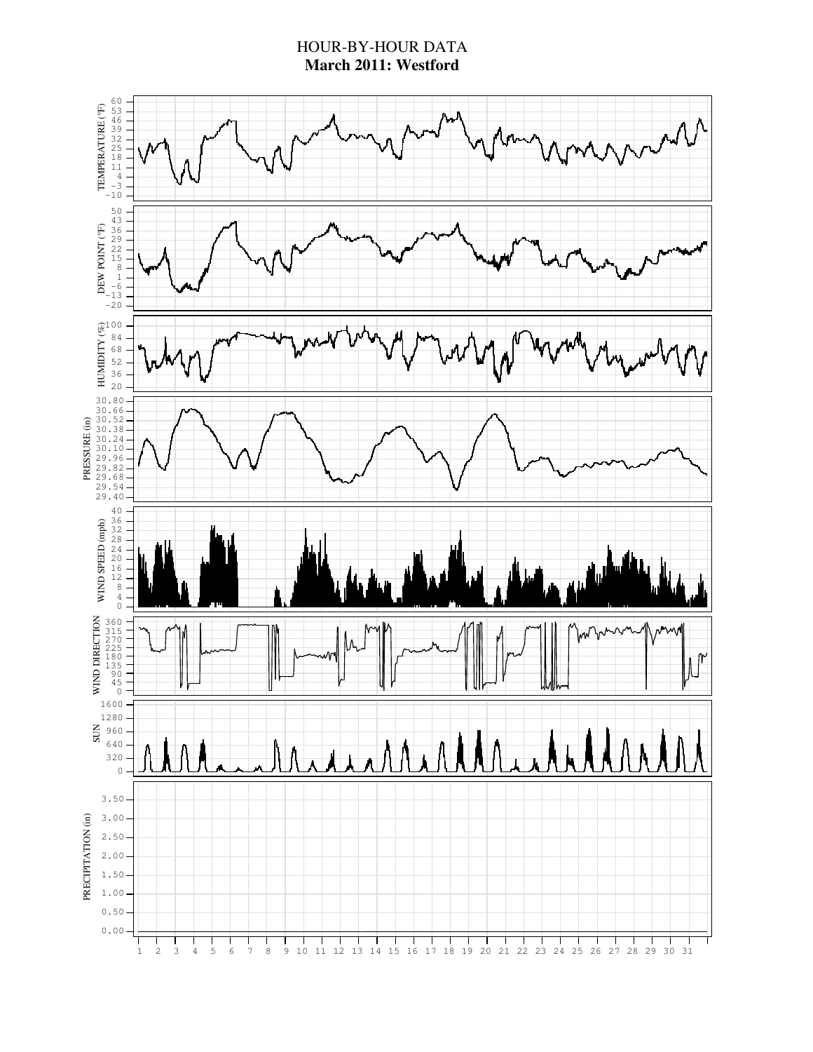### HOUR-BY-HOUR DATA **March 2011: Westford**